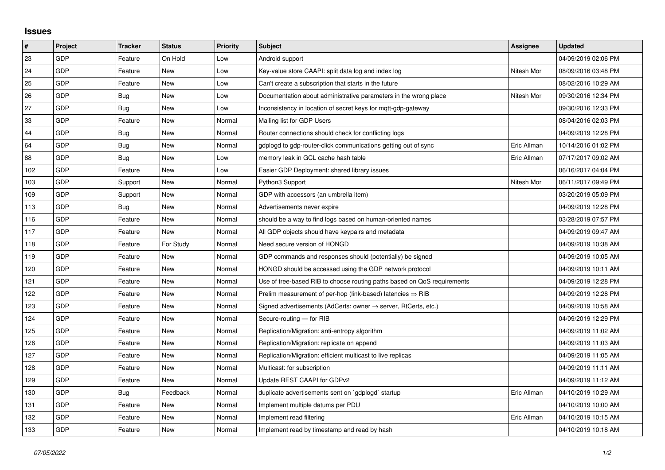## **Issues**

| $\vert$ # | Project    | <b>Tracker</b> | <b>Status</b> | <b>Priority</b> | <b>Subject</b>                                                          | Assignee    | <b>Updated</b>      |
|-----------|------------|----------------|---------------|-----------------|-------------------------------------------------------------------------|-------------|---------------------|
| 23        | GDP        | Feature        | On Hold       | Low             | Android support                                                         |             | 04/09/2019 02:06 PM |
| 24        | <b>GDP</b> | Feature        | <b>New</b>    | Low             | Key-value store CAAPI: split data log and index log                     | Nitesh Mor  | 08/09/2016 03:48 PM |
| 25        | <b>GDP</b> | Feature        | <b>New</b>    | Low             | Can't create a subscription that starts in the future                   |             | 08/02/2016 10:29 AM |
| 26        | GDP        | <b>Bug</b>     | <b>New</b>    | Low             | Documentation about administrative parameters in the wrong place        | Nitesh Mor  | 09/30/2016 12:34 PM |
| 27        | <b>GDP</b> | Bug            | <b>New</b>    | Low             | Inconsistency in location of secret keys for mqtt-gdp-gateway           |             | 09/30/2016 12:33 PM |
| 33        | <b>GDP</b> | Feature        | <b>New</b>    | Normal          | Mailing list for GDP Users                                              |             | 08/04/2016 02:03 PM |
| 44        | GDP        | Bug            | <b>New</b>    | Normal          | Router connections should check for conflicting logs                    |             | 04/09/2019 12:28 PM |
| 64        | <b>GDP</b> | Bug            | <b>New</b>    | Normal          | gdplogd to gdp-router-click communications getting out of sync          | Eric Allman | 10/14/2016 01:02 PM |
| 88        | <b>GDP</b> | <b>Bug</b>     | <b>New</b>    | Low             | memory leak in GCL cache hash table                                     | Eric Allman | 07/17/2017 09:02 AM |
| 102       | <b>GDP</b> | Feature        | New           | Low             | Easier GDP Deployment: shared library issues                            |             | 06/16/2017 04:04 PM |
| 103       | <b>GDP</b> | Support        | <b>New</b>    | Normal          | Python3 Support                                                         | Nitesh Mor  | 06/11/2017 09:49 PM |
| 109       | <b>GDP</b> | Support        | New           | Normal          | GDP with accessors (an umbrella item)                                   |             | 03/20/2019 05:09 PM |
| 113       | <b>GDP</b> | Bug            | <b>New</b>    | Normal          | Advertisements never expire                                             |             | 04/09/2019 12:28 PM |
| 116       | <b>GDP</b> | Feature        | <b>New</b>    | Normal          | should be a way to find logs based on human-oriented names              |             | 03/28/2019 07:57 PM |
| 117       | <b>GDP</b> | Feature        | <b>New</b>    | Normal          | All GDP objects should have keypairs and metadata                       |             | 04/09/2019 09:47 AM |
| 118       | <b>GDP</b> | Feature        | For Study     | Normal          | Need secure version of HONGD                                            |             | 04/09/2019 10:38 AM |
| 119       | <b>GDP</b> | Feature        | <b>New</b>    | Normal          | GDP commands and responses should (potentially) be signed               |             | 04/09/2019 10:05 AM |
| 120       | <b>GDP</b> | Feature        | <b>New</b>    | Normal          | HONGD should be accessed using the GDP network protocol                 |             | 04/09/2019 10:11 AM |
| 121       | <b>GDP</b> | Feature        | <b>New</b>    | Normal          | Use of tree-based RIB to choose routing paths based on QoS requirements |             | 04/09/2019 12:28 PM |
| 122       | <b>GDP</b> | Feature        | <b>New</b>    | Normal          | Prelim measurement of per-hop (link-based) latencies $\Rightarrow$ RIB  |             | 04/09/2019 12:28 PM |
| 123       | <b>GDP</b> | Feature        | <b>New</b>    | Normal          | Signed advertisements (AdCerts: owner → server, RtCerts, etc.)          |             | 04/09/2019 10:58 AM |
| 124       | <b>GDP</b> | Feature        | <b>New</b>    | Normal          | Secure-routing - for RIB                                                |             | 04/09/2019 12:29 PM |
| 125       | <b>GDP</b> | Feature        | <b>New</b>    | Normal          | Replication/Migration: anti-entropy algorithm                           |             | 04/09/2019 11:02 AM |
| 126       | <b>GDP</b> | Feature        | <b>New</b>    | Normal          | Replication/Migration: replicate on append                              |             | 04/09/2019 11:03 AM |
| 127       | <b>GDP</b> | Feature        | <b>New</b>    | Normal          | Replication/Migration: efficient multicast to live replicas             |             | 04/09/2019 11:05 AM |
| 128       | <b>GDP</b> | Feature        | <b>New</b>    | Normal          | Multicast: for subscription                                             |             | 04/09/2019 11:11 AM |
| 129       | <b>GDP</b> | Feature        | <b>New</b>    | Normal          | Update REST CAAPI for GDPv2                                             |             | 04/09/2019 11:12 AM |
| 130       | <b>GDP</b> | Bug            | Feedback      | Normal          | duplicate advertisements sent on `gdplogd` startup                      | Eric Allman | 04/10/2019 10:29 AM |
| 131       | GDP        | Feature        | <b>New</b>    | Normal          | Implement multiple datums per PDU                                       |             | 04/10/2019 10:00 AM |
| 132       | <b>GDP</b> | Feature        | <b>New</b>    | Normal          | Implement read filtering                                                | Eric Allman | 04/10/2019 10:15 AM |
| 133       | <b>GDP</b> | Feature        | <b>New</b>    | Normal          | Implement read by timestamp and read by hash                            |             | 04/10/2019 10:18 AM |